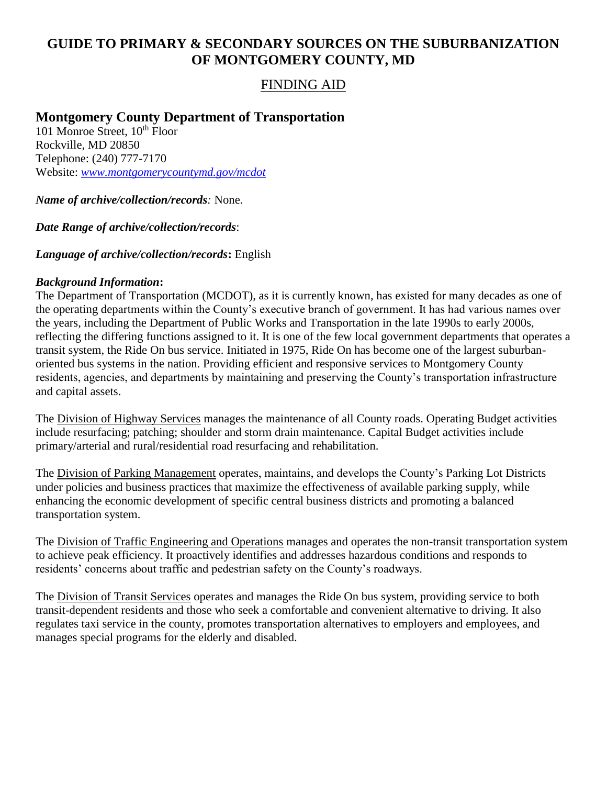# **GUIDE TO PRIMARY & SECONDARY SOURCES ON THE SUBURBANIZATION OF MONTGOMERY COUNTY, MD**

## FINDING AID

# **Montgomery County Department of Transportation**

101 Monroe Street, 10<sup>th</sup> Floor Rockville, MD 20850 Telephone: (240) 777-7170 Website: *[www.montgomerycountymd.gov/mcdot](http://www.montgomerycountymd.gov/mcdot)*

*Name of archive/collection/records:* None.

*Date Range of archive/collection/records*:

*Language of archive/collection/records***:** English

#### *Background Information***:**

The Department of Transportation (MCDOT), as it is currently known, has existed for many decades as one of the operating departments within the County's executive branch of government. It has had various names over the years, including the Department of Public Works and Transportation in the late 1990s to early 2000s, reflecting the differing functions assigned to it. It is one of the few local government departments that operates a transit system, the Ride On bus service. Initiated in 1975, Ride On has become one of the largest suburbanoriented bus systems in the nation. Providing efficient and responsive services to Montgomery County residents, agencies, and departments by maintaining and preserving the County's transportation infrastructure and capital assets.

The Division of Highway Services manages the maintenance of all County roads. Operating Budget activities include resurfacing; patching; shoulder and storm drain maintenance. Capital Budget activities include primary/arterial and rural/residential road resurfacing and rehabilitation.

The Division of Parking Management operates, maintains, and develops the County's Parking Lot Districts under policies and business practices that maximize the effectiveness of available parking supply, while enhancing the economic development of specific central business districts and promoting a balanced transportation system.

The Division of Traffic Engineering and Operations manages and operates the non-transit transportation system to achieve peak efficiency. It proactively identifies and addresses hazardous conditions and responds to residents' concerns about traffic and pedestrian safety on the County's roadways.

The Division of Transit Services operates and manages the Ride On bus system, providing service to both transit-dependent residents and those who seek a comfortable and convenient alternative to driving. It also regulates taxi service in the county, promotes transportation alternatives to employers and employees, and manages special programs for the elderly and disabled.